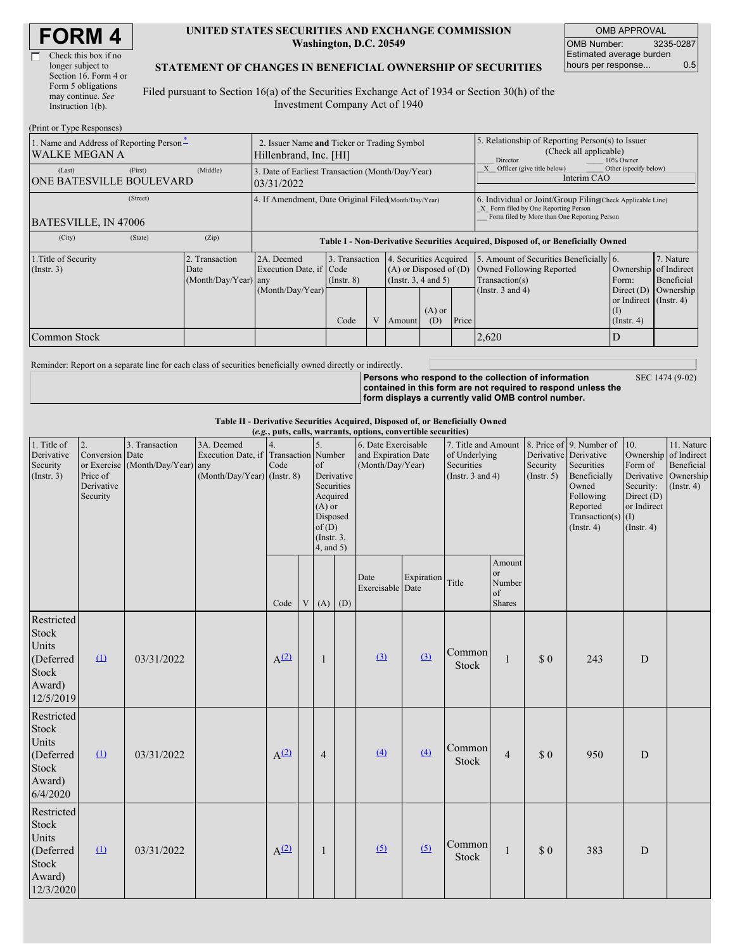| <b>FORM4</b> |
|--------------|
|--------------|

Г

| Check this box if no  |
|-----------------------|
| longer subject to     |
| Section 16. Form 4 or |
| Form 5 obligations    |
| may continue. See     |
| Instruction $1(b)$ .  |
|                       |

(Print or Type Responses)

#### **UNITED STATES SECURITIES AND EXCHANGE COMMISSION Washington, D.C. 20549**

OMB APPROVAL OMB Number: 3235-0287 Estimated average burden hours per response... 0.5

#### **STATEMENT OF CHANGES IN BENEFICIAL OWNERSHIP OF SECURITIES**

Filed pursuant to Section 16(a) of the Securities Exchange Act of 1934 or Section 30(h) of the Investment Company Act of 1940

| (FIIII OI TYPE RESPOIISES)                                                              |                                                                       |                                                      |                                                                |                                   |                                                                                                     |                                                                                                                                                    |       |                                                                                                                                                    |                                                                  |           |  |  |
|-----------------------------------------------------------------------------------------|-----------------------------------------------------------------------|------------------------------------------------------|----------------------------------------------------------------|-----------------------------------|-----------------------------------------------------------------------------------------------------|----------------------------------------------------------------------------------------------------------------------------------------------------|-------|----------------------------------------------------------------------------------------------------------------------------------------------------|------------------------------------------------------------------|-----------|--|--|
| 1. Name and Address of Reporting Person-<br><b>WALKE MEGAN A</b>                        | 2. Issuer Name and Ticker or Trading Symbol<br>Hillenbrand, Inc. [HI] |                                                      |                                                                |                                   | 5. Relationship of Reporting Person(s) to Issuer<br>(Check all applicable)<br>10% Owner<br>Director |                                                                                                                                                    |       |                                                                                                                                                    |                                                                  |           |  |  |
| (Last)<br><b>ONE BATESVILLE BOULEVARD</b>                                               | (First)                                                               | (Middle)                                             | 3. Date of Earliest Transaction (Month/Day/Year)<br>03/31/2022 |                                   | Officer (give title below)<br>Interim CAO                                                           | Other (specify below)                                                                                                                              |       |                                                                                                                                                    |                                                                  |           |  |  |
| BATESVILLE, IN 47006                                                                    | (Street)                                                              | 4. If Amendment, Date Original Filed(Month/Day/Year) |                                                                |                                   |                                                                                                     | 6. Individual or Joint/Group Filing Check Applicable Line)<br>X Form filed by One Reporting Person<br>Form filed by More than One Reporting Person |       |                                                                                                                                                    |                                                                  |           |  |  |
| (City)                                                                                  | (State)                                                               | (Zip)                                                |                                                                |                                   |                                                                                                     |                                                                                                                                                    |       | Table I - Non-Derivative Securities Acquired, Disposed of, or Beneficially Owned                                                                   |                                                                  |           |  |  |
| 1. Title of Security<br>2. Transaction<br>(Insert. 3)<br>Date<br>$(Month/Day/Year)$ any |                                                                       |                                                      | 2A. Deemed<br>Execution Date, if Code                          | 3. Transaction<br>$($ Instr. $8)$ | 4. Securities Acquired<br>$(A)$ or Disposed of $(D)$<br>(Insert. 3, 4 and 5)                        |                                                                                                                                                    |       | 5. Amount of Securities Beneficially 6.<br>7. Nature<br>Ownership of Indirect<br>Owned Following Reported<br>Form:<br>Beneficial<br>Transaction(s) |                                                                  |           |  |  |
|                                                                                         |                                                                       |                                                      | (Month/Day/Year)                                               | Code                              | Amount                                                                                              | $(A)$ or<br>(D)                                                                                                                                    | Price | (Instr. $3$ and $4$ )                                                                                                                              | Direct $(D)$<br>or Indirect $($ Instr. 4 $)$<br>$($ Instr. 4 $)$ | Ownership |  |  |
| Common Stock                                                                            |                                                                       |                                                      |                                                                |                                   |                                                                                                     |                                                                                                                                                    |       | 2,620                                                                                                                                              |                                                                  |           |  |  |

Reminder: Report on a separate line for each class of securities beneficially owned directly or indirectly.

**Persons who respond to the collection of information contained in this form are not required to respond unless the form displays a currently valid OMB control number.** SEC 1474 (9-02)

**Table II - Derivative Securities Acquired, Disposed of, or Beneficially Owned**

| (e.g., puts, calls, warrants, options, convertible securities)                   |                                                             |                                                    |                                                                                      |            |   |                                                                                                                          |  |                                                                |            |                                                                             |                                                          |                                                  |                                                                                                                                      |                                                                                           |                                                                                     |
|----------------------------------------------------------------------------------|-------------------------------------------------------------|----------------------------------------------------|--------------------------------------------------------------------------------------|------------|---|--------------------------------------------------------------------------------------------------------------------------|--|----------------------------------------------------------------|------------|-----------------------------------------------------------------------------|----------------------------------------------------------|--------------------------------------------------|--------------------------------------------------------------------------------------------------------------------------------------|-------------------------------------------------------------------------------------------|-------------------------------------------------------------------------------------|
| 1. Title of<br>Derivative<br>Security<br>(Insert. 3)                             | 2.<br>Conversion Date<br>Price of<br>Derivative<br>Security | 3. Transaction<br>or Exercise (Month/Day/Year) any | 3A. Deemed<br>Execution Date, if Transaction Number<br>$(Month/Day/Year)$ (Instr. 8) | 4.<br>Code |   | 5.<br>of<br>Derivative<br>Securities<br>Acquired<br>$(A)$ or<br>Disposed<br>of(D)<br>$($ Instr. $3$ ,<br>$4$ , and $5$ ) |  | 6. Date Exercisable<br>and Expiration Date<br>(Month/Day/Year) |            | 7. Title and Amount<br>of Underlying<br>Securities<br>(Instr. $3$ and $4$ ) |                                                          | Derivative Derivative<br>Security<br>(Insert. 5) | 8. Price of 9. Number of<br>Securities<br>Beneficially<br>Owned<br>Following<br>Reported<br>Transaction(s) $(I)$<br>$($ Instr. 4 $)$ | 10.<br>Ownership<br>Form of<br>Security:<br>Direct (D)<br>or Indirect<br>$($ Instr. 4 $)$ | 11. Nature<br>of Indirect<br>Beneficial<br>Derivative Ownership<br>$($ Instr. 4 $)$ |
|                                                                                  |                                                             |                                                    |                                                                                      | Code       | V | $(A)$ $(D)$                                                                                                              |  | Date<br>Exercisable Date                                       | Expiration | Title                                                                       | Amount<br><sub>or</sub><br>Number<br>of<br><b>Shares</b> |                                                  |                                                                                                                                      |                                                                                           |                                                                                     |
| Restricted<br><b>Stock</b><br>Units<br>(Deferred<br>Stock<br>Award)<br>12/5/2019 | $\Omega$                                                    | 03/31/2022                                         |                                                                                      | $A^{(2)}$  |   | 1                                                                                                                        |  | $\underline{3}$                                                | (3)        | Common<br>Stock                                                             | $\mathbf{1}$                                             | \$0                                              | 243                                                                                                                                  | D                                                                                         |                                                                                     |
| Restricted<br>Stock<br>Units<br>(Deferred<br><b>Stock</b><br>Award)<br>6/4/2020  | $\mathbf{u}$                                                | 03/31/2022                                         |                                                                                      | $A^{(2)}$  |   | $\overline{4}$                                                                                                           |  | (4)                                                            | (4)        | Common<br>Stock                                                             | $\overline{4}$                                           | \$0                                              | 950                                                                                                                                  | D                                                                                         |                                                                                     |
| Restricted<br>Stock<br>Units<br>(Deferred<br>Stock<br>Award)<br>12/3/2020        | $\mathbf{u}$                                                | 03/31/2022                                         |                                                                                      | $A^{(2)}$  |   | 1                                                                                                                        |  | (5)                                                            | (5)        | Common<br>Stock                                                             | $\mathbf{1}$                                             | \$0                                              | 383                                                                                                                                  | D                                                                                         |                                                                                     |